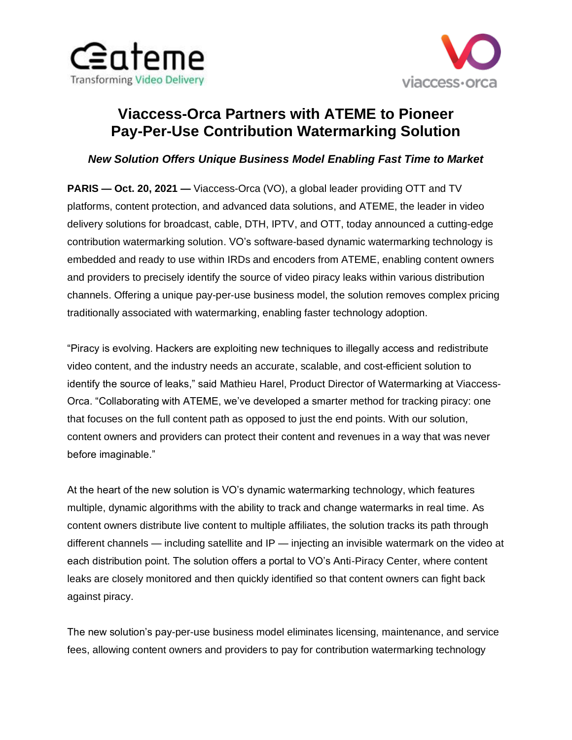



# **Viaccess-Orca Partners with ATEME to Pioneer Pay-Per-Use Contribution Watermarking Solution**

## *New Solution Offers Unique Business Model Enabling Fast Time to Market*

**PARIS — Oct. 20, 2021 —** Viaccess-Orca (VO), a global leader providing OTT and TV platforms, content protection, and advanced data solutions, and ATEME, the leader in video delivery solutions for broadcast, cable, DTH, IPTV, and OTT, today announced a cutting-edge contribution watermarking solution. VO's software-based dynamic watermarking technology is embedded and ready to use within IRDs and encoders from ATEME, enabling content owners and providers to precisely identify the source of video piracy leaks within various distribution channels. Offering a unique pay-per-use business model, the solution removes complex pricing traditionally associated with watermarking, enabling faster technology adoption.

"Piracy is evolving. Hackers are exploiting new techniques to illegally access and redistribute video content, and the industry needs an accurate, scalable, and cost-efficient solution to identify the source of leaks," said Mathieu Harel, Product Director of Watermarking at Viaccess-Orca. "Collaborating with ATEME, we've developed a smarter method for tracking piracy: one that focuses on the full content path as opposed to just the end points. With our solution, content owners and providers can protect their content and revenues in a way that was never before imaginable."

At the heart of the new solution is VO's dynamic watermarking technology, which features multiple, dynamic algorithms with the ability to track and change watermarks in real time. As content owners distribute live content to multiple affiliates, the solution tracks its path through different channels — including satellite and IP — injecting an invisible watermark on the video at each distribution point. The solution offers a portal to VO's Anti-Piracy Center, where content leaks are closely monitored and then quickly identified so that content owners can fight back against piracy.

The new solution's pay-per-use business model eliminates licensing, maintenance, and service fees, allowing content owners and providers to pay for contribution watermarking technology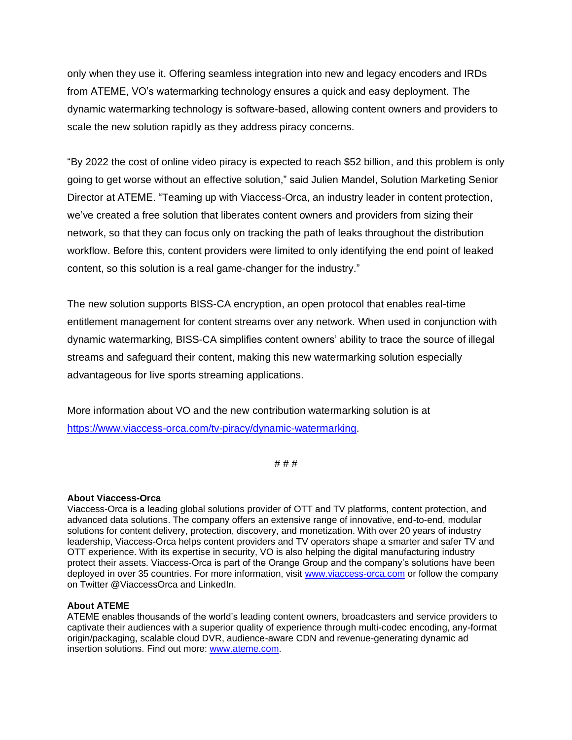only when they use it. Offering seamless integration into new and legacy encoders and IRDs from ATEME, VO's watermarking technology ensures a quick and easy deployment. The dynamic watermarking technology is software-based, allowing content owners and providers to scale the new solution rapidly as they address piracy concerns.

"By 2022 the cost of online video piracy is expected to reach \$52 billion, and this problem is only going to get worse without an effective solution," said Julien Mandel, Solution Marketing Senior Director at ATEME. "Teaming up with Viaccess-Orca, an industry leader in content protection, we've created a free solution that liberates content owners and providers from sizing their network, so that they can focus only on tracking the path of leaks throughout the distribution workflow. Before this, content providers were limited to only identifying the end point of leaked content, so this solution is a real game-changer for the industry."

The new solution supports BISS-CA encryption, an open protocol that enables real-time entitlement management for content streams over any network. When used in conjunction with dynamic watermarking, BISS-CA simplifies content owners' ability to trace the source of illegal streams and safeguard their content, making this new watermarking solution especially advantageous for live sports streaming applications.

More information about VO and the new contribution watermarking solution is at [https://www.viaccess-orca.com/tv-piracy/dynamic-watermarking.](https://www.viaccess-orca.com/tv-piracy/dynamic-watermarking)

# # #

## **About Viaccess-Orca**

Viaccess-Orca is a leading global solutions provider of OTT and TV platforms, content protection, and advanced data solutions. The company offers an extensive range of innovative, end-to-end, modular solutions for content delivery, protection, discovery, and monetization. With over 20 years of industry leadership, Viaccess-Orca helps content providers and TV operators shape a smarter and safer TV and OTT experience. With its expertise in security, VO is also helping the digital manufacturing industry protect their assets. Viaccess-Orca is part of the Orange Group and the company's solutions have been deployed in over 35 countries. For more information, visit [www.viaccess-orca.com](http://www.viaccess-orca.com/) or follow the company on Twitter @ViaccessOrca and LinkedIn.

#### **About ATEME**

ATEME enables thousands of the world's leading content owners, broadcasters and service providers to captivate their audiences with a superior quality of experience through multi-codec encoding, any-format origin/packaging, scalable cloud DVR, audience-aware CDN and revenue-generating dynamic ad insertion solutions. Find out more: [www.ateme.com.](http://www.ateme.com/)